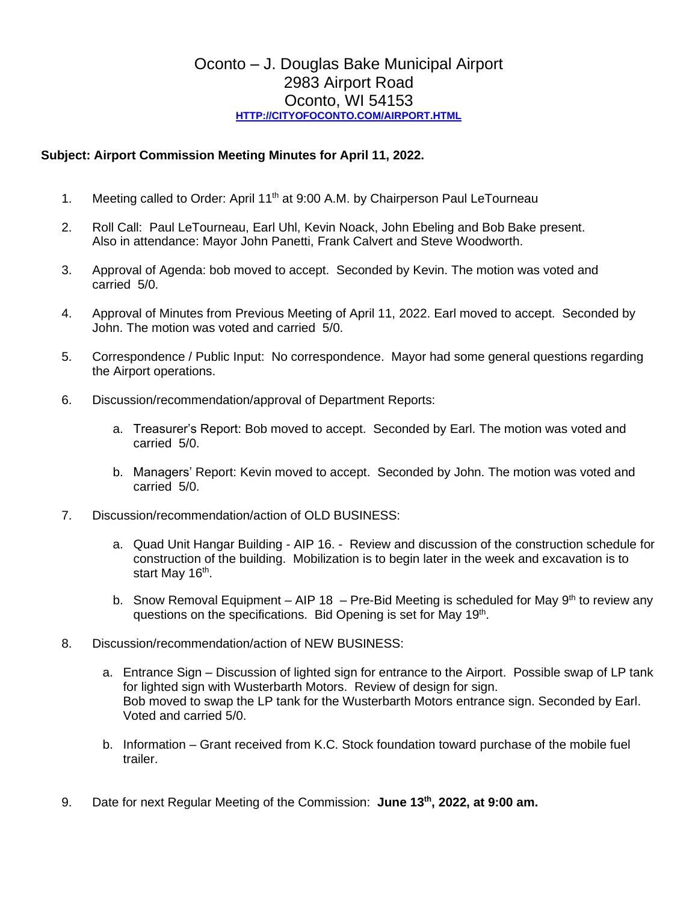## Oconto – J. Douglas Bake Municipal Airport 2983 Airport Road Oconto, WI 54153 **[HTTP://CITYOFOCONTO.COM/AIRPORT.HTML](http://cityofoconto.com/Airport.html)**

## **Subject: Airport Commission Meeting Minutes for April 11, 2022.**

- 1. Meeting called to Order: April 11<sup>th</sup> at 9:00 A.M. by Chairperson Paul LeTourneau
- 2. Roll Call: Paul LeTourneau, Earl Uhl, Kevin Noack, John Ebeling and Bob Bake present. Also in attendance: Mayor John Panetti, Frank Calvert and Steve Woodworth.
- 3. Approval of Agenda: bob moved to accept. Seconded by Kevin. The motion was voted and carried 5/0.
- 4. Approval of Minutes from Previous Meeting of April 11, 2022. Earl moved to accept. Seconded by John. The motion was voted and carried 5/0.
- 5. Correspondence / Public Input: No correspondence. Mayor had some general questions regarding the Airport operations.
- 6. Discussion/recommendation/approval of Department Reports:
	- a. Treasurer's Report: Bob moved to accept. Seconded by Earl. The motion was voted and carried 5/0.
	- b. Managers' Report: Kevin moved to accept. Seconded by John. The motion was voted and carried 5/0.
- 7. Discussion/recommendation/action of OLD BUSINESS:
	- a. Quad Unit Hangar Building AIP 16. Review and discussion of the construction schedule for construction of the building. Mobilization is to begin later in the week and excavation is to start May 16<sup>th</sup>.
	- b. Snow Removal Equipment AIP 18 Pre-Bid Meeting is scheduled for May  $9<sup>th</sup>$  to review any questions on the specifications. Bid Opening is set for May 19<sup>th</sup>.
- 8. Discussion/recommendation/action of NEW BUSINESS:
	- a. Entrance Sign Discussion of lighted sign for entrance to the Airport. Possible swap of LP tank for lighted sign with Wusterbarth Motors. Review of design for sign. Bob moved to swap the LP tank for the Wusterbarth Motors entrance sign. Seconded by Earl. Voted and carried 5/0.
	- b. Information Grant received from K.C. Stock foundation toward purchase of the mobile fuel trailer.
- 9. Date for next Regular Meeting of the Commission: **June 13th, 2022, at 9:00 am.**